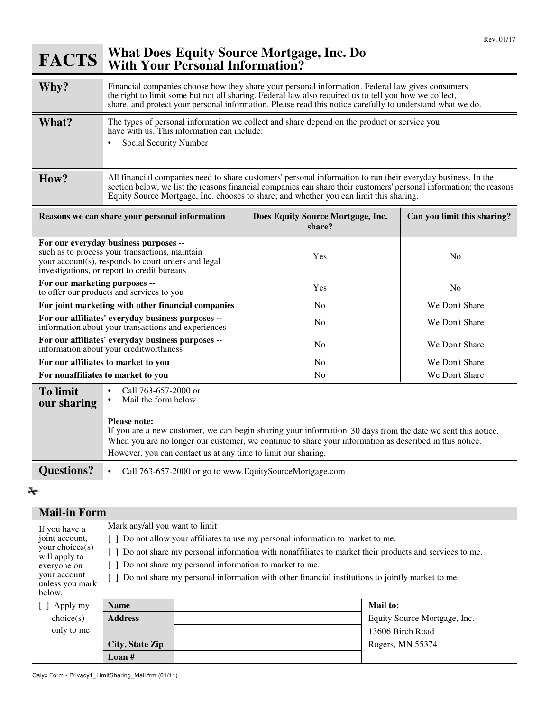## **FACTS What Does With Your Personal Information? Equity Source Mortgage, Inc. Do**

| Why?                                                                                                                                                                                          | Financial companies choose how they share your personal information. Federal law gives consumers<br>the right to limit some but not all sharing. Federal law also required us to tell you how we collect,<br>share, and protect your personal information. Please read this notice carefully to understand what we do.        |                                             |                             |  |
|-----------------------------------------------------------------------------------------------------------------------------------------------------------------------------------------------|-------------------------------------------------------------------------------------------------------------------------------------------------------------------------------------------------------------------------------------------------------------------------------------------------------------------------------|---------------------------------------------|-----------------------------|--|
| What?                                                                                                                                                                                         | The types of personal information we collect and share depend on the product or service you<br>have with us. This information can include:<br>Social Security Number<br>$\bullet$                                                                                                                                             |                                             |                             |  |
| How?                                                                                                                                                                                          | All financial companies need to share customers' personal information to run their everyday business. In the<br>section below, we list the reasons financial companies can share their customers' personal information; the reasons<br>Equity Source Mortgage, Inc. chooses to share; and whether you can limit this sharing. |                                             |                             |  |
| Reasons we can share your personal information                                                                                                                                                |                                                                                                                                                                                                                                                                                                                               | Does Equity Source Mortgage, Inc.<br>share? | Can you limit this sharing? |  |
| For our everyday business purposes --<br>such as to process your transactions, maintain<br>your account(s), responds to court orders and legal<br>investigations, or report to credit bureaus |                                                                                                                                                                                                                                                                                                                               | Yes                                         | N <sub>0</sub>              |  |
| For our marketing purposes --<br>to offer our products and services to you                                                                                                                    |                                                                                                                                                                                                                                                                                                                               | Yes                                         | N <sub>0</sub>              |  |
| For joint marketing with other financial companies                                                                                                                                            |                                                                                                                                                                                                                                                                                                                               | No                                          | We Don't Share              |  |
| For our affiliates' everyday business purposes --<br>information about your transactions and experiences                                                                                      |                                                                                                                                                                                                                                                                                                                               | N <sub>o</sub>                              | We Don't Share              |  |
| For our affiliates' everyday business purposes --<br>information about your creditworthiness                                                                                                  |                                                                                                                                                                                                                                                                                                                               | No                                          | We Don't Share              |  |
| For our affiliates to market to you                                                                                                                                                           |                                                                                                                                                                                                                                                                                                                               | No                                          | We Don't Share              |  |
| For nonaffiliates to market to you                                                                                                                                                            |                                                                                                                                                                                                                                                                                                                               | N <sub>o</sub>                              | We Don't Share              |  |
| <b>To limit</b><br>our sharing                                                                                                                                                                | Call 763-657-2000 or<br>Mail the form below                                                                                                                                                                                                                                                                                   |                                             |                             |  |
|                                                                                                                                                                                               | <b>Please note:</b><br>If you are a new customer, we can begin sharing your information 30 days from the date we sent this notice.<br>When you are no longer our customer, we continue to share your information as described in this notice.<br>However, you can contact us at any time to limit our sharing.                |                                             |                             |  |
| <b>Questions?</b>                                                                                                                                                                             | Call 763-657-2000 or go to www.EquitySourceMortgage.com<br>$\bullet$                                                                                                                                                                                                                                                          |                                             |                             |  |

عج

| <b>Mail-in Form</b>                                                                                                             |                                                                                                                                                                                                                                                                                                                                                                                    |  |                              |  |  |  |
|---------------------------------------------------------------------------------------------------------------------------------|------------------------------------------------------------------------------------------------------------------------------------------------------------------------------------------------------------------------------------------------------------------------------------------------------------------------------------------------------------------------------------|--|------------------------------|--|--|--|
| If you have a<br>joint account,<br>your choices(s)<br>will apply to<br>everyone on<br>your account<br>unless you mark<br>below. | Mark any/all you want to limit<br>Do not allow your affiliates to use my personal information to market to me.<br>Do not share my personal information with nonaffiliates to market their products and services to me.<br>Do not share my personal information to market to me.<br>Do not share my personal information with other financial institutions to jointly market to me. |  |                              |  |  |  |
| Apply my                                                                                                                        | <b>Name</b>                                                                                                                                                                                                                                                                                                                                                                        |  | Mail to:                     |  |  |  |
| choice(s)                                                                                                                       | <b>Address</b>                                                                                                                                                                                                                                                                                                                                                                     |  | Equity Source Mortgage, Inc. |  |  |  |
| only to me                                                                                                                      |                                                                                                                                                                                                                                                                                                                                                                                    |  | 13606 Birch Road             |  |  |  |
|                                                                                                                                 | City, State Zip                                                                                                                                                                                                                                                                                                                                                                    |  | Rogers, MN 55374             |  |  |  |
|                                                                                                                                 | Loan $#$                                                                                                                                                                                                                                                                                                                                                                           |  |                              |  |  |  |